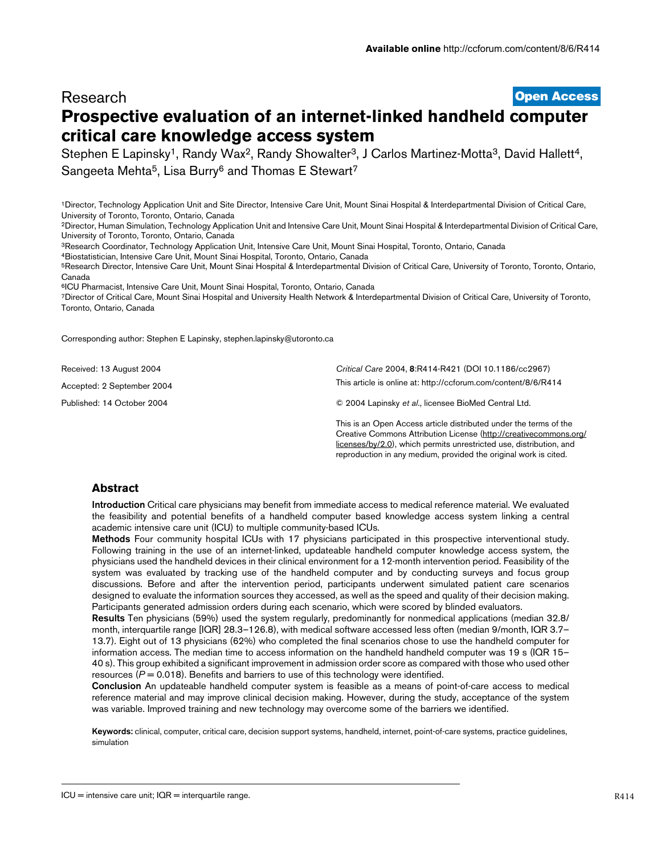# **[Open Access](http://www.biomedcentral.com/info/about/charter/) Research Prospective evaluation of an internet-linked handheld computer critical care knowledge access system**

Stephen E Lapinsky<sup>1</sup>, Randy Wax<sup>2</sup>, Randy Showalter<sup>3</sup>, J Carlos Martinez-Motta<sup>3</sup>, David Hallett<sup>4</sup>, Sangeeta Mehta<sup>5</sup>, Lisa Burry<sup>6</sup> and Thomas E Stewart<sup>7</sup>

1Director, Technology Application Unit and Site Director, Intensive Care Unit, Mount Sinai Hospital & Interdepartmental Division of Critical Care, University of Toronto, Toronto, Ontario, Canada

2Director, Human Simulation, Technology Application Unit and Intensive Care Unit, Mount Sinai Hospital & Interdepartmental Division of Critical Care, University of Toronto, Toronto, Ontario, Canada

3Research Coordinator, Technology Application Unit, Intensive Care Unit, Mount Sinai Hospital, Toronto, Ontario, Canada

4Biostatistician, Intensive Care Unit, Mount Sinai Hospital, Toronto, Ontario, Canada

5Research Director, Intensive Care Unit, Mount Sinai Hospital & Interdepartmental Division of Critical Care, University of Toronto, Toronto, Ontario, Canada

6ICU Pharmacist, Intensive Care Unit, Mount Sinai Hospital, Toronto, Ontario, Canada

7Director of Critical Care, Mount Sinai Hospital and University Health Network & Interdepartmental Division of Critical Care, University of Toronto, Toronto, Ontario, Canada

Corresponding author: Stephen E Lapinsky, stephen.lapinsky@utoronto.ca

Received: 13 August 2004

Accepted: 2 September 2004

Published: 14 October 2004

*Critical Care* 2004, **8**:R414-R421 (DOI 10.1186/cc2967) [This article is online at: http://ccforum.com/content/8/6/R414](http://ccforum.com/content/8/6/R414)

© 2004 Lapinsky *et al*., licensee BioMed Central Ltd.

This is an Open Access article distributed under the terms of the Creative Commons Attribution License [\(http://creativecommons.org/](http://creativecommons.org/licenses/by/2.0) [licenses/by/2.0](http://creativecommons.org/licenses/by/2.0)), which permits unrestricted use, distribution, and reproduction in any medium, provided the original work is cited.

## **Abstract**

**Introduction** Critical care physicians may benefit from immediate access to medical reference material. We evaluated the feasibility and potential benefits of a handheld computer based knowledge access system linking a central academic intensive care unit (ICU) to multiple community-based ICUs.

**Methods** Four community hospital ICUs with 17 physicians participated in this prospective interventional study. Following training in the use of an internet-linked, updateable handheld computer knowledge access system, the physicians used the handheld devices in their clinical environment for a 12-month intervention period. Feasibility of the system was evaluated by tracking use of the handheld computer and by conducting surveys and focus group discussions. Before and after the intervention period, participants underwent simulated patient care scenarios designed to evaluate the information sources they accessed, as well as the speed and quality of their decision making. Participants generated admission orders during each scenario, which were scored by blinded evaluators.

**Results** Ten physicians (59%) used the system regularly, predominantly for nonmedical applications (median 32.8/ month, interquartile range [IQR] 28.3–126.8), with medical software accessed less often (median 9/month, IQR 3.7– 13.7). Eight out of 13 physicians (62%) who completed the final scenarios chose to use the handheld computer for information access. The median time to access information on the handheld handheld computer was 19 s (IQR 15– 40 s). This group exhibited a significant improvement in admission order score as compared with those who used other resources  $(P = 0.018)$ . Benefits and barriers to use of this technology were identified.

**Conclusion** An updateable handheld computer system is feasible as a means of point-of-care access to medical reference material and may improve clinical decision making. However, during the study, acceptance of the system was variable. Improved training and new technology may overcome some of the barriers we identified.

**Keywords:** clinical, computer, critical care, decision support systems, handheld, internet, point-of-care systems, practice guidelines, simulation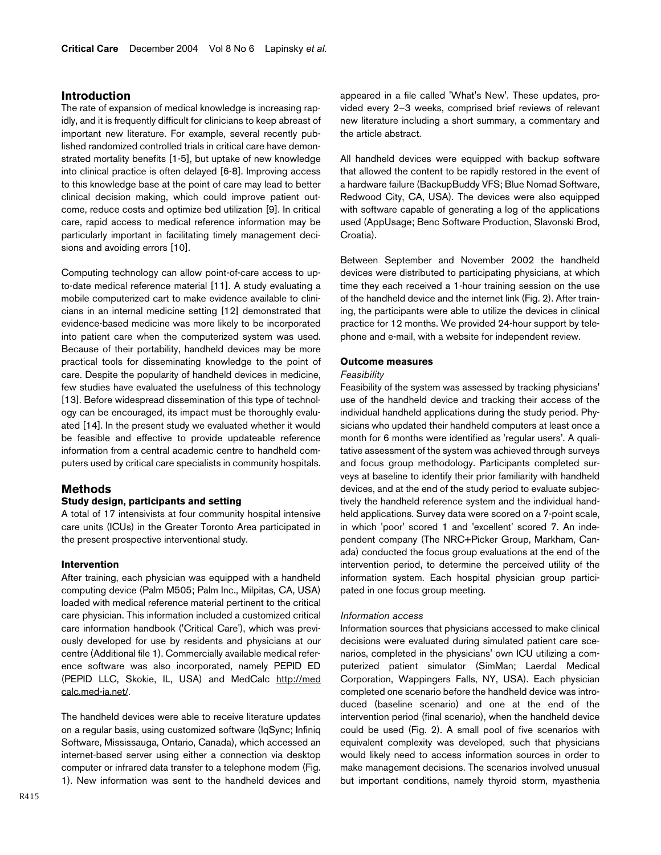## **Introduction**

The rate of expansion of medical knowledge is increasing rapidly, and it is frequently difficult for clinicians to keep abreast of important new literature. For example, several recently published randomized controlled trials in critical care have demonstrated mortality benefits [1-5], but uptake of new knowledge into clinical practice is often delayed [6-8]. Improving access to this knowledge base at the point of care may lead to better clinical decision making, which could improve patient outcome, reduce costs and optimize bed utilization [9]. In critical care, rapid access to medical reference information may be particularly important in facilitating timely management decisions and avoiding errors [10].

Computing technology can allow point-of-care access to upto-date medical reference material [11]. A study evaluating a mobile computerized cart to make evidence available to clinicians in an internal medicine setting [12] demonstrated that evidence-based medicine was more likely to be incorporated into patient care when the computerized system was used. Because of their portability, handheld devices may be more practical tools for disseminating knowledge to the point of care. Despite the popularity of handheld devices in medicine, few studies have evaluated the usefulness of this technology [13]. Before widespread dissemination of this type of technology can be encouraged, its impact must be thoroughly evaluated [14]. In the present study we evaluated whether it would be feasible and effective to provide updateable reference information from a central academic centre to handheld computers used by critical care specialists in community hospitals.

## **Methods**

#### **Study design, participants and setting**

A total of 17 intensivists at four community hospital intensive care units (ICUs) in the Greater Toronto Area participated in the present prospective interventional study.

### **Intervention**

After training, each physician was equipped with a handheld computing device (Palm M505; Palm Inc., Milpitas, CA, USA) loaded with medical reference material pertinent to the critical care physician. This information included a customized critical care information handbook ('Critical Care'), which was previously developed for use by residents and physicians at our centre (Additional file 1). Commercially available medical reference software was also incorporated, namely PEPID ED (PEPID LLC, Skokie, IL, USA) and MedCalc [http://med](http://medcalc.med-ia.net/) [calc.med-ia.net/](http://medcalc.med-ia.net/).

The handheld devices were able to receive literature updates on a regular basis, using customized software (IqSync; Infiniq Software, Mississauga, Ontario, Canada), which accessed an internet-based server using either a connection via desktop computer or infrared data transfer to a telephone modem (Fig. [1](#page-2-0)). New information was sent to the handheld devices and

appeared in a file called 'What's New'. These updates, provided every 2–3 weeks, comprised brief reviews of relevant new literature including a short summary, a commentary and the article abstract.

All handheld devices were equipped with backup software that allowed the content to be rapidly restored in the event of a hardware failure (BackupBuddy VFS; Blue Nomad Software, Redwood City, CA, USA). The devices were also equipped with software capable of generating a log of the applications used (AppUsage; Benc Software Production, Slavonski Brod, Croatia).

Between September and November 2002 the handheld devices were distributed to participating physicians, at which time they each received a 1-hour training session on the use of the handheld device and the internet link (Fig. [2\)](#page-2-1). After training, the participants were able to utilize the devices in clinical practice for 12 months. We provided 24-hour support by telephone and e-mail, with a website for independent review.

#### **Outcome measures**

#### *Feasibility*

Feasibility of the system was assessed by tracking physicians' use of the handheld device and tracking their access of the individual handheld applications during the study period. Physicians who updated their handheld computers at least once a month for 6 months were identified as 'regular users'. A qualitative assessment of the system was achieved through surveys and focus group methodology. Participants completed surveys at baseline to identify their prior familiarity with handheld devices, and at the end of the study period to evaluate subjectively the handheld reference system and the individual handheld applications. Survey data were scored on a 7-point scale, in which 'poor' scored 1 and 'excellent' scored 7. An independent company (The NRC+Picker Group, Markham, Canada) conducted the focus group evaluations at the end of the intervention period, to determine the perceived utility of the information system. Each hospital physician group participated in one focus group meeting.

#### *Information access*

Information sources that physicians accessed to make clinical decisions were evaluated during simulated patient care scenarios, completed in the physicians' own ICU utilizing a computerized patient simulator (SimMan; Laerdal Medical Corporation, Wappingers Falls, NY, USA). Each physician completed one scenario before the handheld device was introduced (baseline scenario) and one at the end of the intervention period (final scenario), when the handheld device could be used (Fig. [2\)](#page-2-1). A small pool of five scenarios with equivalent complexity was developed, such that physicians would likely need to access information sources in order to make management decisions. The scenarios involved unusual but important conditions, namely thyroid storm, myasthenia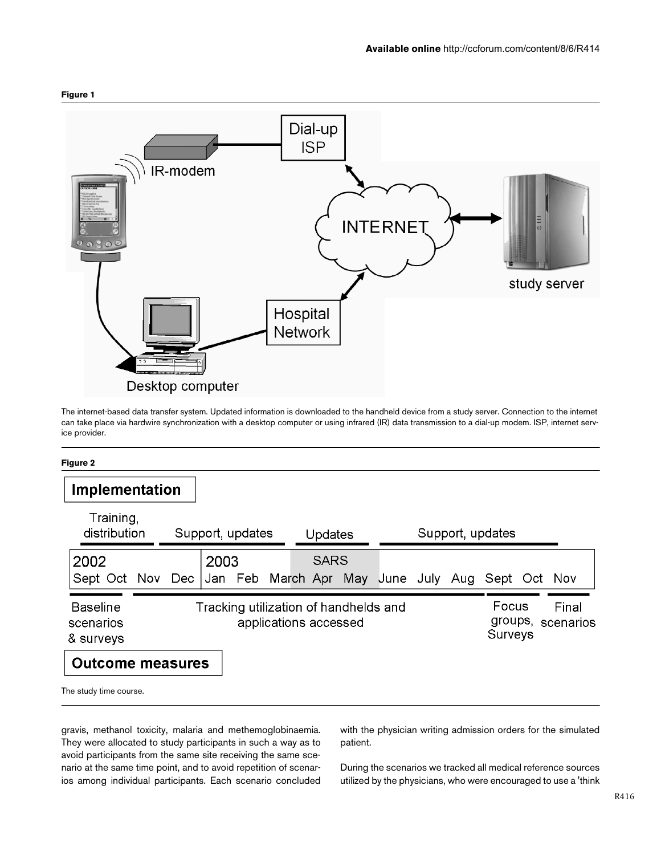<span id="page-2-0"></span>

The internet-based data transfer system. Updated information is downloaded to the handheld device from a study server. Connection to the internet can take place via hardwire synchronization with a desktop computer or using infrared (IR) data transmission to a dial-up modem. ISP, internet service provider.

### **Figure 2**

<span id="page-2-1"></span>

| Implementation                                    |                                                                |     |                  |                   |  |         |             |                             |               |                    |     |              |  |  |
|---------------------------------------------------|----------------------------------------------------------------|-----|------------------|-------------------|--|---------|-------------|-----------------------------|---------------|--------------------|-----|--------------|--|--|
|                                                   | Training,<br>distribution                                      |     | Support, updates |                   |  | Updates |             |                             |               | Support, updates   |     |              |  |  |
| 2002<br>Sept Oct Nov                              |                                                                | Dec | 2003             | Jan Feb March Apr |  |         | <b>SARS</b> |                             | May June July |                    | Aug | Sept Oct Nov |  |  |
| <b>Baseline</b><br>scenarios<br>& surveys         | Tracking utilization of handhelds and<br>applications accessed |     |                  |                   |  |         |             | Focus<br>groups,<br>Surveys |               | Final<br>scenarios |     |              |  |  |
| <b>Outcome measures</b><br>The study time course. |                                                                |     |                  |                   |  |         |             |                             |               |                    |     |              |  |  |

gravis, methanol toxicity, malaria and methemoglobinaemia. They were allocated to study participants in such a way as to avoid participants from the same site receiving the same scenario at the same time point, and to avoid repetition of scenarios among individual participants. Each scenario concluded with the physician writing admission orders for the simulated patient.

During the scenarios we tracked all medical reference sources utilized by the physicians, who were encouraged to use a 'think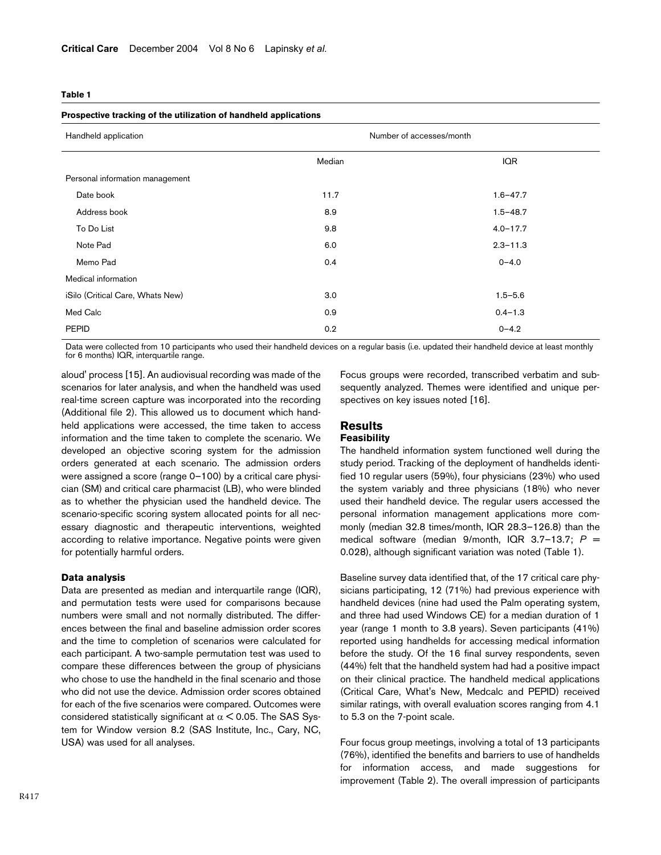#### <span id="page-3-0"></span>**Table 1**

#### **Prospective tracking of the utilization of handheld applications**

| Handheld application                    | Number of accesses/month |  |  |  |
|-----------------------------------------|--------------------------|--|--|--|
| Median                                  | <b>IQR</b>               |  |  |  |
| Personal information management         |                          |  |  |  |
| Date book<br>11.7                       | $1.6 - 47.7$             |  |  |  |
| 8.9<br>Address book                     | $1.5 - 48.7$             |  |  |  |
| 9.8<br>To Do List                       | $4.0 - 17.7$             |  |  |  |
| 6.0<br>Note Pad                         | $2.3 - 11.3$             |  |  |  |
| Memo Pad<br>0.4                         | $0 - 4.0$                |  |  |  |
| Medical information                     |                          |  |  |  |
| iSilo (Critical Care, Whats New)<br>3.0 | $1.5 - 5.6$              |  |  |  |
| Med Calc<br>0.9                         | $0.4 - 1.3$              |  |  |  |
| 0.2<br><b>PEPID</b>                     | $0 - 4.2$                |  |  |  |

Data were collected from 10 participants who used their handheld devices on a regular basis (i.e. updated their handheld device at least monthly for 6 months) IQR, interquartile range.

aloud' process [15]. An audiovisual recording was made of the scenarios for later analysis, and when the handheld was used real-time screen capture was incorporated into the recording (Additional file 2). This allowed us to document which handheld applications were accessed, the time taken to access information and the time taken to complete the scenario. We developed an objective scoring system for the admission orders generated at each scenario. The admission orders were assigned a score (range 0–100) by a critical care physician (SM) and critical care pharmacist (LB), who were blinded as to whether the physician used the handheld device. The scenario-specific scoring system allocated points for all necessary diagnostic and therapeutic interventions, weighted according to relative importance. Negative points were given for potentially harmful orders.

#### **Data analysis**

Data are presented as median and interquartile range (IQR), and permutation tests were used for comparisons because numbers were small and not normally distributed. The differences between the final and baseline admission order scores and the time to completion of scenarios were calculated for each participant. A two-sample permutation test was used to compare these differences between the group of physicians who chose to use the handheld in the final scenario and those who did not use the device. Admission order scores obtained for each of the five scenarios were compared. Outcomes were considered statistically significant at  $\alpha$  < 0.05. The SAS System for Window version 8.2 (SAS Institute, Inc., Cary, NC, USA) was used for all analyses.

Focus groups were recorded, transcribed verbatim and subsequently analyzed. Themes were identified and unique perspectives on key issues noted [16].

### **Results Feasibility**

The handheld information system functioned well during the study period. Tracking of the deployment of handhelds identified 10 regular users (59%), four physicians (23%) who used the system variably and three physicians (18%) who never used their handheld device. The regular users accessed the personal information management applications more commonly (median 32.8 times/month, IQR 28.3–126.8) than the medical software (median 9/month, IQR 3.7–13.7; *P* = 0.028), although significant variation was noted (Table [1\)](#page-3-0).

Baseline survey data identified that, of the 17 critical care physicians participating, 12 (71%) had previous experience with handheld devices (nine had used the Palm operating system, and three had used Windows CE) for a median duration of 1 year (range 1 month to 3.8 years). Seven participants (41%) reported using handhelds for accessing medical information before the study. Of the 16 final survey respondents, seven (44%) felt that the handheld system had had a positive impact on their clinical practice. The handheld medical applications (Critical Care, What's New, Medcalc and PEPID) received similar ratings, with overall evaluation scores ranging from 4.1 to 5.3 on the 7-point scale.

Four focus group meetings, involving a total of 13 participants (76%), identified the benefits and barriers to use of handhelds for information access, and made suggestions for improvement (Table [2](#page-4-0)). The overall impression of participants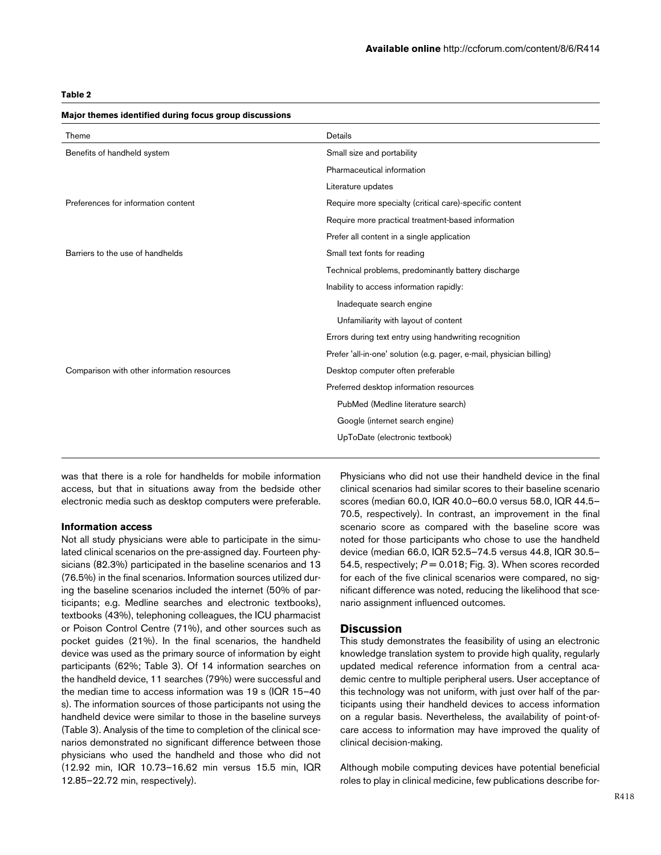## <span id="page-4-0"></span>**Table 2**

| Theme                                       | Details                                                              |  |  |  |
|---------------------------------------------|----------------------------------------------------------------------|--|--|--|
| Benefits of handheld system                 | Small size and portability                                           |  |  |  |
|                                             | Pharmaceutical information                                           |  |  |  |
|                                             | Literature updates                                                   |  |  |  |
| Preferences for information content         | Require more specialty (critical care)-specific content              |  |  |  |
|                                             | Require more practical treatment-based information                   |  |  |  |
|                                             | Prefer all content in a single application                           |  |  |  |
| Barriers to the use of handhelds            | Small text fonts for reading                                         |  |  |  |
|                                             | Technical problems, predominantly battery discharge                  |  |  |  |
|                                             | Inability to access information rapidly:                             |  |  |  |
|                                             | Inadequate search engine                                             |  |  |  |
|                                             | Unfamiliarity with layout of content                                 |  |  |  |
|                                             | Errors during text entry using handwriting recognition               |  |  |  |
|                                             | Prefer 'all-in-one' solution (e.g. pager, e-mail, physician billing) |  |  |  |
| Comparison with other information resources | Desktop computer often preferable                                    |  |  |  |
|                                             | Preferred desktop information resources                              |  |  |  |
|                                             | PubMed (Medline literature search)                                   |  |  |  |
|                                             | Google (internet search engine)                                      |  |  |  |
|                                             | UpToDate (electronic textbook)                                       |  |  |  |
|                                             |                                                                      |  |  |  |

## **Major themes identified during focus group discussions**

was that there is a role for handhelds for mobile information access, but that in situations away from the bedside other electronic media such as desktop computers were preferable.

### **Information access**

Not all study physicians were able to participate in the simulated clinical scenarios on the pre-assigned day. Fourteen physicians (82.3%) participated in the baseline scenarios and 13 (76.5%) in the final scenarios. Information sources utilized during the baseline scenarios included the internet (50% of participants; e.g. Medline searches and electronic textbooks), textbooks (43%), telephoning colleagues, the ICU pharmacist or Poison Control Centre (71%), and other sources such as pocket guides (21%). In the final scenarios, the handheld device was used as the primary source of information by eight participants (62%; Table [3\)](#page-5-0). Of 14 information searches on the handheld device, 11 searches (79%) were successful and the median time to access information was 19 s (IQR 15–40 s). The information sources of those participants not using the handheld device were similar to those in the baseline surveys (Table [3\)](#page-5-0). Analysis of the time to completion of the clinical scenarios demonstrated no significant difference between those physicians who used the handheld and those who did not (12.92 min, IQR 10.73–16.62 min versus 15.5 min, IQR 12.85–22.72 min, respectively).

Physicians who did not use their handheld device in the final clinical scenarios had similar scores to their baseline scenario scores (median 60.0, IQR 40.0–60.0 versus 58.0, IQR 44.5– 70.5, respectively). In contrast, an improvement in the final scenario score as compared with the baseline score was noted for those participants who chose to use the handheld device (median 66.0, IQR 52.5–74.5 versus 44.8, IQR 30.5– 54.5, respectively;  $P = 0.018$ ; Fig. [3](#page-5-1)). When scores recorded for each of the five clinical scenarios were compared, no significant difference was noted, reducing the likelihood that scenario assignment influenced outcomes.

## **Discussion**

This study demonstrates the feasibility of using an electronic knowledge translation system to provide high quality, regularly updated medical reference information from a central academic centre to multiple peripheral users. User acceptance of this technology was not uniform, with just over half of the participants using their handheld devices to access information on a regular basis. Nevertheless, the availability of point-ofcare access to information may have improved the quality of clinical decision-making.

Although mobile computing devices have potential beneficial roles to play in clinical medicine, few publications describe for-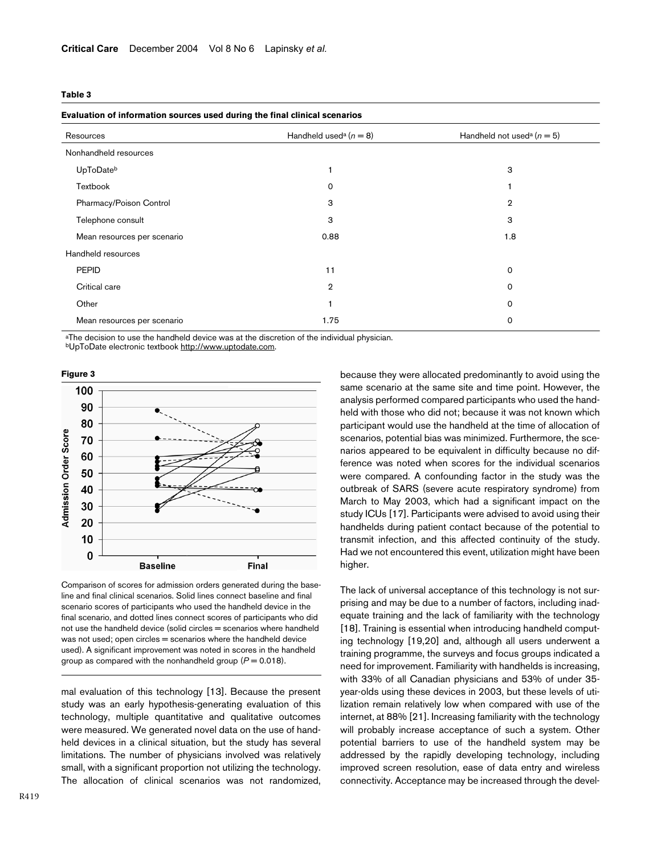### <span id="page-5-0"></span>**Table 3**

### **Evaluation of information sources used during the final clinical scenarios**

| $1000 - 1000 - 1000 - 1000 - 1000 - 1000 - 1000 - 1000 - 1000 - 1000 - 1000 - 1000 - 1000 - 1000 - 1000 - 1000 - 1000 - 1000 - 1000 - 1000 - 1000 - 1000 - 1000 - 1000 - 1000 - 1000 - 1000 - 1000 - 1000 - 1000 - 1000 - 1000 - 1000 - 1000 - 1000 - 1000 - 1000$ |                                      |                                            |  |  |  |
|--------------------------------------------------------------------------------------------------------------------------------------------------------------------------------------------------------------------------------------------------------------------|--------------------------------------|--------------------------------------------|--|--|--|
| Resources                                                                                                                                                                                                                                                          | Handheld used <sup>a</sup> $(n = 8)$ | Handheld not used <sup>a</sup> ( $n = 5$ ) |  |  |  |
| Nonhandheld resources                                                                                                                                                                                                                                              |                                      |                                            |  |  |  |
| UpToDateb                                                                                                                                                                                                                                                          |                                      | 3                                          |  |  |  |
| Textbook                                                                                                                                                                                                                                                           | $\Omega$                             |                                            |  |  |  |
| Pharmacy/Poison Control                                                                                                                                                                                                                                            | 3                                    | $\overline{2}$                             |  |  |  |
| Telephone consult                                                                                                                                                                                                                                                  | 3                                    | 3                                          |  |  |  |
| Mean resources per scenario                                                                                                                                                                                                                                        | 0.88                                 | 1.8                                        |  |  |  |
| Handheld resources                                                                                                                                                                                                                                                 |                                      |                                            |  |  |  |
| <b>PEPID</b>                                                                                                                                                                                                                                                       | 11                                   | $\mathbf 0$                                |  |  |  |
| Critical care                                                                                                                                                                                                                                                      | $\overline{2}$                       | 0                                          |  |  |  |
| Other                                                                                                                                                                                                                                                              |                                      | 0                                          |  |  |  |
| Mean resources per scenario                                                                                                                                                                                                                                        | 1.75                                 | 0                                          |  |  |  |
|                                                                                                                                                                                                                                                                    |                                      |                                            |  |  |  |

aThe decision to use the handheld device was at the discretion of the individual physician.<br>bUpToDate electronic textbook<http://www.uptodate.com>.

<span id="page-5-1"></span>

Comparison of scores for admission orders generated during the baseline and final clinical scenarios. Solid lines connect baseline and final scenario scores of participants who used the handheld device in the final scenario, and dotted lines connect scores of participants who did not use the handheld device (solid circles = scenarios where handheld was not used; open circles = scenarios where the handheld device used). A significant improvement was noted in scores in the handheld group as compared with the nonhandheld group  $(P = 0.018)$ .

mal evaluation of this technology [13]. Because the present study was an early hypothesis-generating evaluation of this technology, multiple quantitative and qualitative outcomes were measured. We generated novel data on the use of handheld devices in a clinical situation, but the study has several limitations. The number of physicians involved was relatively small, with a significant proportion not utilizing the technology. The allocation of clinical scenarios was not randomized, because they were allocated predominantly to avoid using the same scenario at the same site and time point. However, the analysis performed compared participants who used the handheld with those who did not; because it was not known which participant would use the handheld at the time of allocation of scenarios, potential bias was minimized. Furthermore, the scenarios appeared to be equivalent in difficulty because no difference was noted when scores for the individual scenarios were compared. A confounding factor in the study was the outbreak of SARS (severe acute respiratory syndrome) from March to May 2003, which had a significant impact on the study ICUs [17]. Participants were advised to avoid using their handhelds during patient contact because of the potential to transmit infection, and this affected continuity of the study. Had we not encountered this event, utilization might have been higher.

The lack of universal acceptance of this technology is not surprising and may be due to a number of factors, including inadequate training and the lack of familiarity with the technology [18]. Training is essential when introducing handheld computing technology [19,20] and, although all users underwent a training programme, the surveys and focus groups indicated a need for improvement. Familiarity with handhelds is increasing, with 33% of all Canadian physicians and 53% of under 35 year-olds using these devices in 2003, but these levels of utilization remain relatively low when compared with use of the internet, at 88% [21]. Increasing familiarity with the technology will probably increase acceptance of such a system. Other potential barriers to use of the handheld system may be addressed by the rapidly developing technology, including improved screen resolution, ease of data entry and wireless connectivity. Acceptance may be increased through the devel-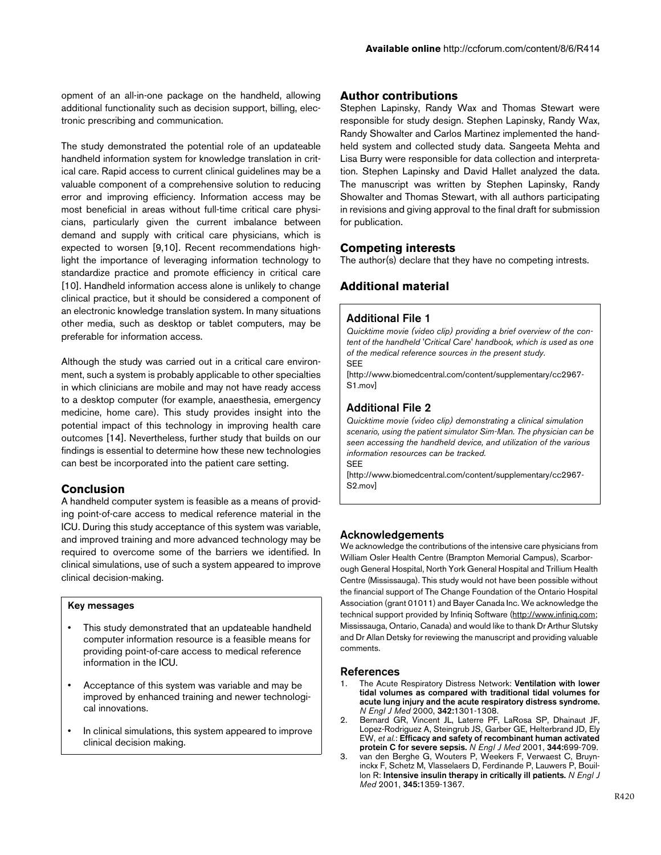opment of an all-in-one package on the handheld, allowing additional functionality such as decision support, billing, electronic prescribing and communication.

The study demonstrated the potential role of an updateable handheld information system for knowledge translation in critical care. Rapid access to current clinical guidelines may be a valuable component of a comprehensive solution to reducing error and improving efficiency. Information access may be most beneficial in areas without full-time critical care physicians, particularly given the current imbalance between demand and supply with critical care physicians, which is expected to worsen [9,10]. Recent recommendations highlight the importance of leveraging information technology to standardize practice and promote efficiency in critical care [10]. Handheld information access alone is unlikely to change clinical practice, but it should be considered a component of an electronic knowledge translation system. In many situations other media, such as desktop or tablet computers, may be preferable for information access.

Although the study was carried out in a critical care environment, such a system is probably applicable to other specialties in which clinicians are mobile and may not have ready access to a desktop computer (for example, anaesthesia, emergency medicine, home care). This study provides insight into the potential impact of this technology in improving health care outcomes [14]. Nevertheless, further study that builds on our findings is essential to determine how these new technologies can best be incorporated into the patient care setting.

## **Conclusion**

A handheld computer system is feasible as a means of providing point-of-care access to medical reference material in the ICU. During this study acceptance of this system was variable, and improved training and more advanced technology may be required to overcome some of the barriers we identified. In clinical simulations, use of such a system appeared to improve clinical decision-making.

### **Key messages**

- This study demonstrated that an updateable handheld computer information resource is a feasible means for providing point-of-care access to medical reference information in the ICU.
- Acceptance of this system was variable and may be improved by enhanced training and newer technological innovations.
- In clinical simulations, this system appeared to improve clinical decision making.

## **Author contributions**

Stephen Lapinsky, Randy Wax and Thomas Stewart were responsible for study design. Stephen Lapinsky, Randy Wax, Randy Showalter and Carlos Martinez implemented the handheld system and collected study data. Sangeeta Mehta and Lisa Burry were responsible for data collection and interpretation. Stephen Lapinsky and David Hallet analyzed the data. The manuscript was written by Stephen Lapinsky, Randy Showalter and Thomas Stewart, with all authors participating in revisions and giving approval to the final draft for submission for publication.

## **Competing interests**

The author(s) declare that they have no competing intrests.

## **Additional material**

#### **Additional File 1**

*Quicktime movie (video clip) providing a brief overview of the content of the handheld 'Critical Care' handbook, which is used as one of the medical reference sources in the present study.* **SFF** 

[\[http://www.biomedcentral.com/content/supplementary/cc2967-](http://www.biomedcentral.com/content/supplementary/cc2967-S1.mov) S1.mov]

## **Additional File 2**

*Quicktime movie (video clip) demonstrating a clinical simulation scenario, using the patient simulator Sim-Man. The physician can be seen accessing the handheld device, and utilization of the various information resources can be tracked.* SEE

[\[http://www.biomedcentral.com/content/supplementary/cc2967-](http://www.biomedcentral.com/content/supplementary/cc2967-S2.mov) S2.mov]

## **Acknowledgements**

We acknowledge the contributions of the intensive care physicians from William Osler Health Centre (Brampton Memorial Campus), Scarborough General Hospital, North York General Hospital and Trillium Health Centre (Mississauga). This study would not have been possible without the financial support of The Change Foundation of the Ontario Hospital Association (grant 01011) and Bayer Canada Inc. We acknowledge the technical support provided by Infiniq Software ([http://www.infiniq.com;](http://www.infiniq.com) Mississauga, Ontario, Canada) and would like to thank Dr Arthur Slutsky and Dr Allan Detsky for reviewing the manuscript and providing valuable comments.

### **References**

- 1. The Acute Respiratory Distress Network: **[Ventilation with lower](http://www.ncbi.nlm.nih.gov/entrez/query.fcgi?cmd=Retrieve&db=PubMed&dopt=Abstract&list_uids=10793162) tidal volumes as compared with traditional tidal volumes for [acute lung injury and the acute respiratory distress syndrome.](http://www.ncbi.nlm.nih.gov/entrez/query.fcgi?cmd=Retrieve&db=PubMed&dopt=Abstract&list_uids=10793162)** *N Engl J Med* 2000, **342:**1301-1308.
- 2. Bernard GR, Vincent JL, Laterre PF, LaRosa SP, Dhainaut JF, Lopez-Rodriguez A, Steingrub JS, Garber GE, Helterbrand JD, Ely EW, *et al.*: **[Efficacy and safety of recombinant human activated](http://www.ncbi.nlm.nih.gov/entrez/query.fcgi?cmd=Retrieve&db=PubMed&dopt=Abstract&list_uids=11236773) [protein C for severe sepsis.](http://www.ncbi.nlm.nih.gov/entrez/query.fcgi?cmd=Retrieve&db=PubMed&dopt=Abstract&list_uids=11236773)** *N Engl J Med* 2001, **344:**699-709.
- 3. van den Berghe G, Wouters P, Weekers F, Verwaest C, Bruyninckx F, Schetz M, Vlasselaers D, Ferdinande P, Lauwers P, Bouillon R: **[Intensive insulin therapy in critically ill patients.](http://www.ncbi.nlm.nih.gov/entrez/query.fcgi?cmd=Retrieve&db=PubMed&dopt=Abstract&list_uids=11794168)** *N Engl J Med* 2001, **345:**1359-1367.